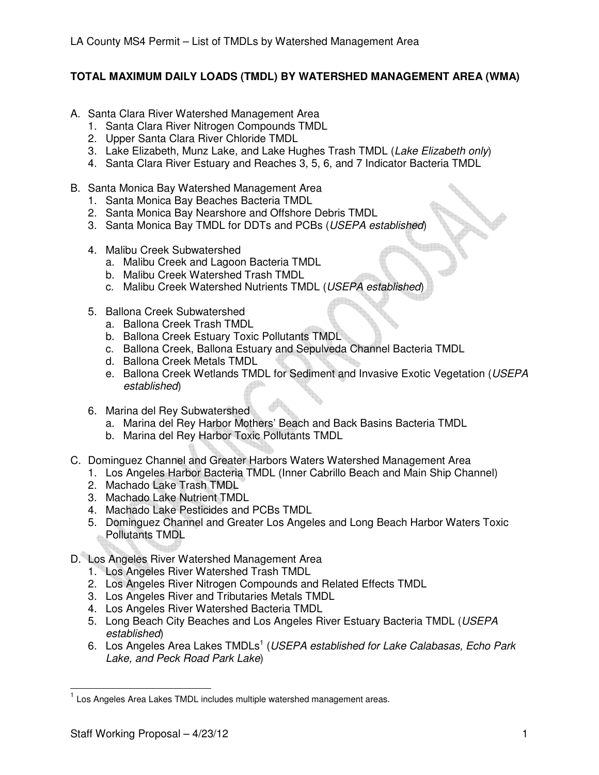## **TOTAL MAXIMUM DAILY LOADS (TMDL) BY WATERSHED MANAGEMENT AREA (WMA)**

- A. Santa Clara River Watershed Management Area
	- 1. Santa Clara River Nitrogen Compounds TMDL
	- 2. Upper Santa Clara River Chloride TMDL
	- 3. Lake Elizabeth, Munz Lake, and Lake Hughes Trash TMDL (Lake Elizabeth only)
	- 4. Santa Clara River Estuary and Reaches 3, 5, 6, and 7 Indicator Bacteria TMDL
- B. Santa Monica Bay Watershed Management Area
	- 1. Santa Monica Bay Beaches Bacteria TMDL
	- 2. Santa Monica Bay Nearshore and Offshore Debris TMDL
	- 3. Santa Monica Bay TMDL for DDTs and PCBs (USEPA established)
	- 4. Malibu Creek Subwatershed
		- a. Malibu Creek and Lagoon Bacteria TMDL
		- b. Malibu Creek Watershed Trash TMDL
		- c. Malibu Creek Watershed Nutrients TMDL (USEPA established)
	- 5. Ballona Creek Subwatershed
		- a. Ballona Creek Trash TMDL
		- b. Ballona Creek Estuary Toxic Pollutants TMDL
		- c. Ballona Creek, Ballona Estuary and Sepulveda Channel Bacteria TMDL
		- d. Ballona Creek Metals TMDL
		- e. Ballona Creek Wetlands TMDL for Sediment and Invasive Exotic Vegetation (USEPA established)
	- 6. Marina del Rey Subwatershed
		- a. Marina del Rey Harbor Mothers' Beach and Back Basins Bacteria TMDL
		- b. Marina del Rey Harbor Toxic Pollutants TMDL
- C. Dominguez Channel and Greater Harbors Waters Watershed Management Area
	- 1. Los Angeles Harbor Bacteria TMDL (Inner Cabrillo Beach and Main Ship Channel)
	- 2. Machado Lake Trash TMDL
	- 3. Machado Lake Nutrient TMDL
	- 4. Machado Lake Pesticides and PCBs TMDL
	- 5. Dominguez Channel and Greater Los Angeles and Long Beach Harbor Waters Toxic Pollutants TMDL
- D. Los Angeles River Watershed Management Area
	- 1. Los Angeles River Watershed Trash TMDL
	- 2. Los Angeles River Nitrogen Compounds and Related Effects TMDL
	- 3. Los Angeles River and Tributaries Metals TMDL
	- 4. Los Angeles River Watershed Bacteria TMDL
	- 5. Long Beach City Beaches and Los Angeles River Estuary Bacteria TMDL (USEPA established)
	- 6. Los Angeles Area Lakes TMDLs<sup>1</sup> (USEPA established for Lake Calabasas, Echo Park Lake, and Peck Road Park Lake)

 $\overline{1}$ <sup>1</sup> Los Angeles Area Lakes TMDL includes multiple watershed management areas.